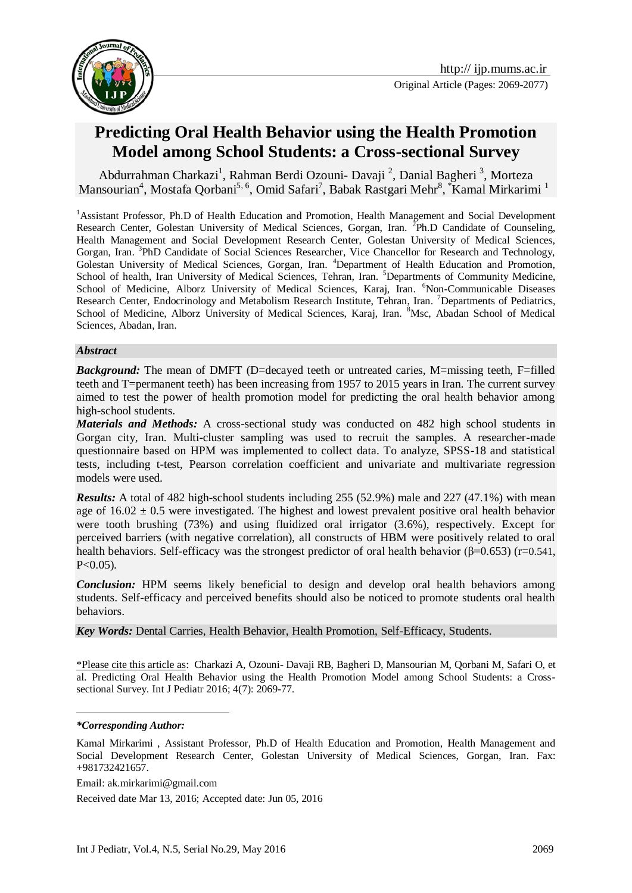



# **Predicting Oral Health Behavior using the Health Promotion Model among School Students: a Cross-sectional Survey**

[Abdurrahman Charkazi](http://jehp.net/searchresult.asp?search=&author=Abdurrahman+Charkazi&journal=Y&but_search=Search&entries=10&pg=1&s=0)<sup>1</sup>, Rahman Berdi Ozouni- Davaji<sup>2</sup>, Danial Bagheri<sup>3</sup>, Morteza Mansourian<sup>4</sup>, Mostafa Qorbani<sup>5, 6</sup>, Omid Safari<sup>7</sup>, Babak Rastgari Mehr<sup>8</sup>, <sup>\*</sup>Kamal Mirkarimi<sup>1</sup>

<sup>1</sup>Assistant Professor, Ph.D of Health Education and Promotion, Health Management and Social Development Research Center, Golestan University of Medical Sciences, Gorgan, Iran. <sup>2</sup>Ph.D Candidate of Counseling, Health Management and Social Development Research Center, Golestan University of Medical Sciences, Gorgan, Iran. <sup>3</sup>PhD Candidate of Social Sciences Researcher, Vice Chancellor for Research and Technology, Golestan University of Medical Sciences, Gorgan, Iran. <sup>4</sup>Department of Health Education and Promotion, School of health, Iran University of Medical Sciences, Tehran, Iran. <sup>5</sup>Departments of Community Medicine, School of Medicine, Alborz University of Medical Sciences, Karaj, Iran. <sup>6</sup>Non-Communicable Diseases Research Center, Endocrinology and Metabolism Research Institute, Tehran, Iran. <sup>7</sup>Departments of Pediatrics, School of Medicine, Alborz University of Medical Sciences, Karaj, Iran. <sup>8</sup>Msc, Abadan School of Medical Sciences, Abadan, Iran.

#### *Abstract*

*Background:* The mean of DMFT (D=decayed teeth or untreated caries, M=missing teeth, F=filled teeth and T=permanent teeth) has been increasing from 1957 to 2015 years in Iran. The current survey aimed to test the power of health promotion model for predicting the oral health behavior among high-school students.

*Materials and Methods:* A cross-sectional study was conducted on 482 high school students in Gorgan city, Iran. Multi-cluster sampling was used to recruit the samples. A researcher-made questionnaire based on HPM was implemented to collect data. To analyze, SPSS-18 and statistical tests, including t-test, Pearson correlation coefficient and univariate and multivariate regression models were used.

*Results:* A total of 482 high-school students including 255 (52.9%) male and 227 (47.1%) with mean age of  $16.02 \pm 0.5$  were investigated. The highest and lowest prevalent positive oral health behavior were tooth brushing (73%) and using fluidized oral irrigator (3.6%), respectively. Except for perceived barriers (with negative correlation), all constructs of HBM were positively related to oral health behaviors. Self-efficacy was the strongest predictor of oral health behavior (β=0.653) (r=0.541,  $P < 0.05$ ).

*Conclusion:* HPM seems likely beneficial to design and develop oral health behaviors among students. Self-efficacy and perceived benefits should also be noticed to promote students oral health behaviors.

*Key Words:* Dental Carries, Health Behavior, Health Promotion, Self-Efficacy, Students.

\*Please cite this article as[: Charkazi](http://jehp.net/searchresult.asp?search=&author=Abdurrahman+Charkazi&journal=Y&but_search=Search&entries=10&pg=1&s=0) A, Ozouni- Davaji RB, Bagheri D, Mansourian M, Qorbani M, Safari O, et al. Predicting Oral Health Behavior using the Health Promotion Model among School Students: a Crosssectional Survey. Int J Pediatr 2016; 4(7): 2069-77.

*\*Corresponding Author:*

1

Email: [ak.mirkarimi@gmail.com](mailto:ak.mirkarimi@gmail.com)

Received date Mar 13, 2016; Accepted date: Jun 05, 2016

Kamal Mirkarimi , Assistant Professor, Ph.D of Health Education and Promotion, Health Management and Social Development Research Center, Golestan University of Medical Sciences, Gorgan, Iran. Fax: +981732421657.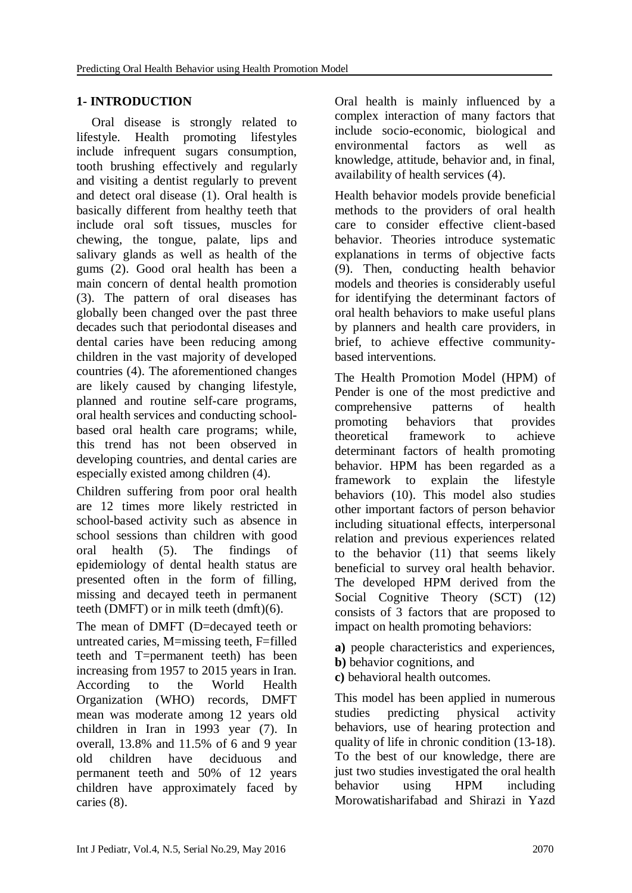## **1- INTRODUCTION**

Oral disease is strongly related to lifestyle. Health promoting lifestyles include infrequent sugars consumption, tooth brushing effectively and regularly and visiting a dentist regularly to prevent and detect oral disease [\(1\)](#page-6-0). Oral health is basically different from healthy teeth that include oral soft tissues, muscles for chewing, the tongue, palate, lips and salivary glands as well as health of the gums [\(2\)](#page-6-1). Good oral health has been a main concern of dental health promotion [\(3\)](#page-6-2). The pattern of oral diseases has globally been changed over the past three decades such that periodontal diseases and dental caries have been reducing among children in the vast majority of developed countries [\(4\)](#page-6-3). The aforementioned changes are likely caused by changing lifestyle, planned and routine self-care programs, oral health services and conducting schoolbased oral health care programs; while, this trend has not been observed in developing countries, and dental caries are especially existed among children [\(4\)](#page-6-3).

Children suffering from poor oral health are 12 times more likely restricted in school-based activity such as absence in school sessions than children with good<br>oral health (5). The findings of oral health [\(5\)](#page-6-4). The findings of epidemiology of dental health status are presented often in the form of filling, missing and decayed teeth in permanent teeth (DMFT) or in milk teeth (dmft)[\(6\)](#page-6-5).

The mean of DMFT (D=decayed teeth or untreated caries, M=missing teeth, F=filled teeth and T=permanent teeth) has been increasing from 1957 to 2015 years in Iran. According to the World Health Organization (WHO) records, DMFT mean was moderate among 12 years old children in Iran in 1993 year [\(7\)](#page-6-6). In overall, 13.8% and 11.5% of 6 and 9 year old children have deciduous and permanent teeth and 50% of 12 years children have approximately faced by caries [\(8\)](#page-7-0).

Oral health is mainly influenced by a complex interaction of many factors that include socio-economic, biological and environmental factors as well as knowledge, attitude, behavior and, in final, availability of health services [\(4\)](#page-6-3).

Health behavior models provide beneficial methods to the providers of oral health care to consider effective client-based behavior. Theories introduce systematic explanations in terms of objective facts [\(9\)](#page-7-1). Then, conducting health behavior models and theories is considerably useful for identifying the determinant factors of oral health behaviors to make useful plans by planners and health care providers, in brief, to achieve effective communitybased interventions.

The Health Promotion Model (HPM) of Pender is one of the most predictive and comprehensive patterns of health promoting behaviors that provides theoretical framework to achieve determinant factors of health promoting behavior. HPM has been regarded as a framework to explain the lifestyle behaviors [\(10\)](#page-7-2). This model also studies other important factors of person behavior including situational effects, interpersonal relation and previous experiences related to the behavior [\(11\)](#page-7-3) that seems likely beneficial to survey oral health behavior. The developed HPM derived from the Social Cognitive Theory (SCT) [\(12\)](#page-7-4) consists of 3 factors that are proposed to impact on health promoting behaviors:

- **a)** people characteristics and experiences,
- **b)** behavior cognitions, and
- **c)** behavioral health outcomes.

This model has been applied in numerous studies predicting physical activity behaviors, use of hearing protection and quality of life in chronic condition [\(13-18\)](#page-7-5). To the best of our knowledge, there are just two studies investigated the oral health behavior using HPM including Morowatisharifabad and Shirazi in Yazd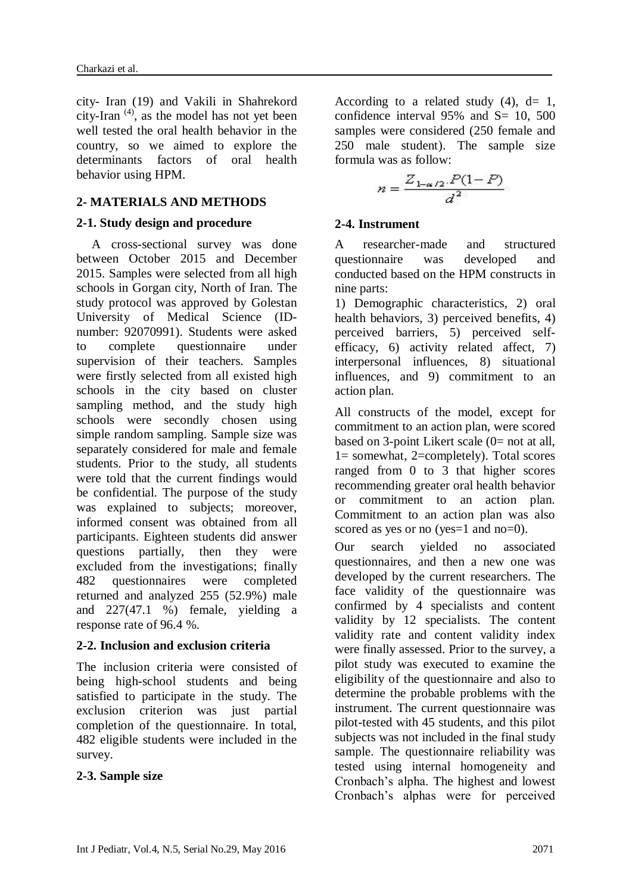city- Iran [\(19\)](#page-7-6) and Vakili in Shahrekord city-Iran  $(4)$ , as the model has not yet been well tested the oral health behavior in the country, so we aimed to explore the determinants factors of oral health behavior using HPM.

## **2- MATERIALS AND METHODS**

### **2-1. Study design and procedure**

A cross-sectional survey was done between October 2015 and December 2015. Samples were selected from all high schools in Gorgan city, North of Iran. The study protocol was approved by Golestan University of Medical Science (IDnumber: 92070991). Students were asked to complete questionnaire under supervision of their teachers. Samples were firstly selected from all existed high schools in the city based on cluster sampling method, and the study high schools were secondly chosen using simple random sampling. Sample size was separately considered for male and female students. Prior to the study, all students were told that the current findings would be confidential. The purpose of the study was explained to subjects; moreover, informed consent was obtained from all participants. Eighteen students did answer questions partially, then they were excluded from the investigations; finally 482 questionnaires were completed returned and analyzed 255 (52.9%) male and 227(47.1 %) female, yielding a response rate of 96.4 %.

## **2-2. Inclusion and exclusion criteria**

The inclusion criteria were consisted of being high-school students and being satisfied to participate in the study. The exclusion criterion was just partial completion of the questionnaire. In total, 482 eligible students were included in the survey.

## **2-3. Sample size**

According to a related study  $(4)$ , d= 1, confidence interval  $95\%$  and  $S = 10$ , 500 samples were considered (250 female and 250 male student). The sample size formula was as follow:

$$
n = \frac{Z_{1-\alpha/2}.P(1-P)}{d^2}
$$

### **2-4. Instrument**

A researcher-made and structured questionnaire was developed and conducted based on the HPM constructs in nine parts:

1) Demographic characteristics, 2) oral health behaviors, 3) perceived benefits, 4) perceived barriers, 5) perceived selfefficacy, 6) activity related affect, 7) interpersonal influences, 8) situational influences, and 9) commitment to an action plan.

All constructs of the model, except for commitment to an action plan, were scored based on 3-point Likert scale (0= not at all, 1= somewhat, 2=completely). Total scores ranged from 0 to 3 that higher scores recommending greater oral health behavior or commitment to an action plan. Commitment to an action plan was also scored as yes or no (yes=1 and no=0).

Our search yielded no associated questionnaires, and then a new one was developed by the current researchers. The face validity of the questionnaire was confirmed by 4 specialists and content validity by 12 specialists. The content validity rate and content validity index were finally assessed. Prior to the survey, a pilot study was executed to examine the eligibility of the questionnaire and also to determine the probable problems with the instrument. The current questionnaire was pilot-tested with 45 students, and this pilot subjects was not included in the final study sample. The questionnaire reliability was tested using internal homogeneity and Cronbach's alpha. The highest and lowest Cronbach's alphas were for perceived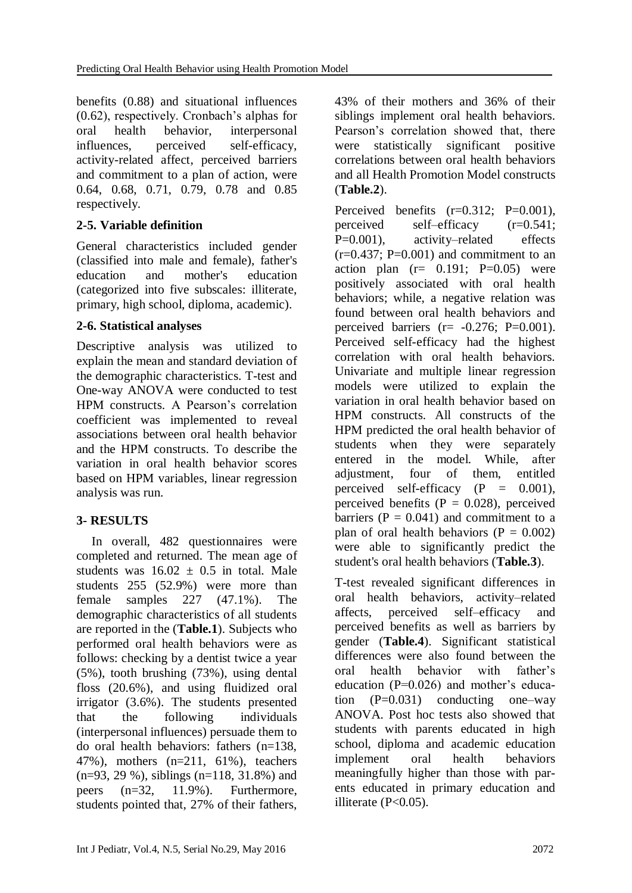benefits (0.88) and situational influences (0.62), respectively. Cronbach's alphas for oral health behavior, interpersonal influences, perceived self-efficacy, activity-related affect, perceived barriers and commitment to a plan of action, were 0.64, 0.68, 0.71, 0.79, 0.78 and 0.85 respectively.

## **2-5. Variable definition**

General characteristics included gender (classified into male and female), father's education and mother's education (categorized into five subscales: illiterate, primary, high school, diploma, academic).

## **2-6. Statistical analyses**

Descriptive analysis was utilized to explain the mean and standard deviation of the demographic characteristics. T-test and One-way ANOVA were conducted to test HPM constructs. A Pearson's correlation coefficient was implemented to reveal associations between oral health behavior and the HPM constructs. To describe the variation in oral health behavior scores based on HPM variables, linear regression analysis was run.

## **3- RESULTS**

In overall, 482 questionnaires were completed and returned. The mean age of students was  $16.02 \pm 0.5$  in total. Male students 255 (52.9%) were more than female samples 227 (47.1%). The demographic characteristics of all students are reported in the (**Table.1**). Subjects who performed oral health behaviors were as follows: checking by a dentist twice a year (5%), tooth brushing (73%), using dental floss (20.6%), and using fluidized oral irrigator (3.6%). The students presented that the following individuals (interpersonal influences) persuade them to do oral health behaviors: fathers (n=138, 47%), mothers (n=211, 61%), teachers (n=93, 29 %), siblings (n=118, 31.8%) and peers (n=32, 11.9%). Furthermore, students pointed that, 27% of their fathers, 43% of their mothers and 36% of their siblings implement oral health behaviors. Pearson's correlation showed that, there were statistically significant positive correlations between oral health behaviors and all Health Promotion Model constructs (**Table.2**).

Perceived benefits  $(r=0.312; P=0.001)$ , perceived self–efficacy (r=0.541; P=0.001), activity–related effects  $(r=0.437; P=0.001)$  and commitment to an action plan  $(r= 0.191; P=0.05)$  were positively associated with oral health behaviors; while, a negative relation was found between oral health behaviors and perceived barriers  $(r= -0.276; P=0.001)$ . Perceived self-efficacy had the highest correlation with oral health behaviors. Univariate and multiple linear regression models were utilized to explain the variation in oral health behavior based on HPM constructs. All constructs of the HPM predicted the oral health behavior of students when they were separately entered in the model. While, after adjustment, four of them, entitled perceived self-efficacy  $(P = 0.001)$ , perceived benefits  $(P = 0.028)$ , perceived barriers ( $P = 0.041$ ) and commitment to a plan of oral health behaviors ( $P = 0.002$ ) were able to significantly predict the student's oral health behaviors (**Table.3**).

T-test revealed significant differences in oral health behaviors, activity–related affects, perceived self–efficacy and perceived benefits as well as barriers by gender (**Table.4**). Significant statistical differences were also found between the oral health behavior with father's education (P=0.026) and mother's education  $(P=0.031)$  conducting one-way ANOVA. Post hoc tests also showed that students with parents educated in high school, diploma and academic education implement oral health behaviors meaningfully higher than those with parents educated in primary education and illiterate (P<0.05).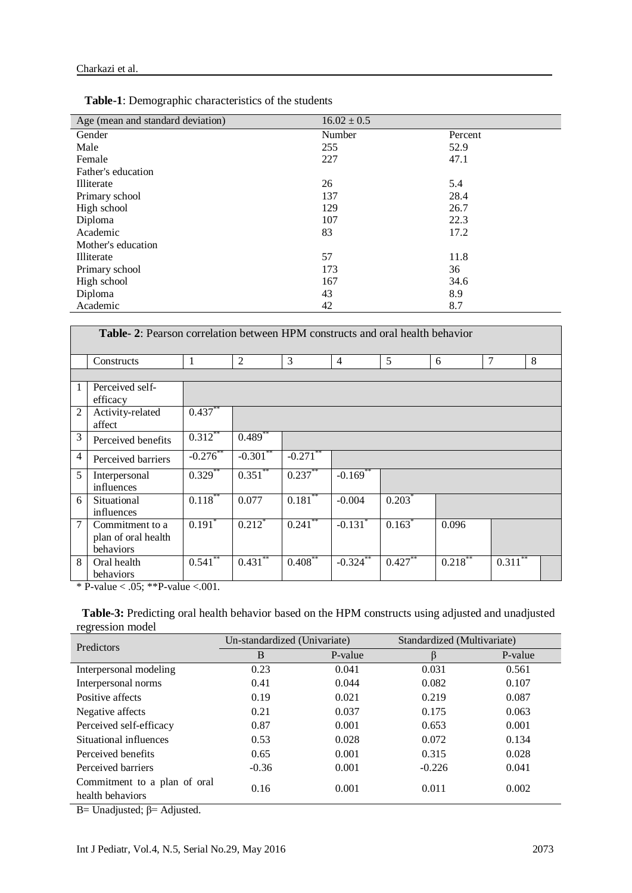| Age (mean and standard deviation) | $16.02 \pm 0.5$ |         |  |
|-----------------------------------|-----------------|---------|--|
| Gender                            | Number          | Percent |  |
| Male                              | 255             | 52.9    |  |
| Female                            | 227             | 47.1    |  |
| Father's education                |                 |         |  |
| Illiterate                        | 26              | 5.4     |  |
| Primary school                    | 137             | 28.4    |  |
| High school                       | 129             | 26.7    |  |
| Diploma                           | 107             | 22.3    |  |
| Academic                          | 83              | 17.2    |  |
| Mother's education                |                 |         |  |
| Illiterate                        | 57              | 11.8    |  |
| Primary school                    | 173             | 36      |  |
| High school                       | 167             | 34.6    |  |
| Diploma                           | 43              | 8.9     |  |
| Academic                          | 42              | 8.7     |  |

 **Table-1**: Demographic characteristics of the students

|                | <b>Table-2:</b> Pearson correlation between HPM constructs and oral health behavior |                      |                      |            |                        |           |            |                         |  |
|----------------|-------------------------------------------------------------------------------------|----------------------|----------------------|------------|------------------------|-----------|------------|-------------------------|--|
|                | Constructs                                                                          | 1                    | 2                    | 3          | $\overline{4}$         | 5         | 6          | $\tau$<br>8             |  |
|                |                                                                                     |                      |                      |            |                        |           |            |                         |  |
| $\mathbf{1}$   | Perceived self-<br>efficacy                                                         |                      |                      |            |                        |           |            |                         |  |
| $\overline{2}$ | Activity-related<br>affect                                                          | $0.437***$           |                      |            |                        |           |            |                         |  |
| 3              | Perceived benefits                                                                  | $0.312***$           | $0.489*$             |            |                        |           |            |                         |  |
| $\overline{4}$ | Perceived barriers                                                                  | $-0.276$ **          | $-0.301$ **          | $-0.271$   |                        |           |            |                         |  |
| 5              | Interpersonal<br>influences                                                         | $0.329$ **           | $0.351$ **           | $0.237***$ | $-0.169$ <sup>**</sup> |           |            |                         |  |
| 6              | Situational<br>influences                                                           | $0.118***$           | 0.077                | $0.181**$  | $-0.004$               | $0.203^*$ |            |                         |  |
| $\overline{7}$ | Commitment to a<br>plan of oral health<br>behaviors                                 | $0.191$ <sup>*</sup> | $0.212$ <sup>*</sup> | $0.241$ ** | $-0.131$ <sup>*</sup>  | 0.163     | 0.096      |                         |  |
| 8              | Oral health<br>behaviors                                                            | $0.541***$           | $0.431$ **           | $0.408**$  | $-0.324$ **            | $0.427**$ | $0.218***$ | $0.3\overline{11}^{**}$ |  |

\* P-value < .05; \*\* P-value < .001.

 **Table-3:** Predicting oral health behavior based on the HPM constructs using adjusted and unadjusted regression model

| <b>Predictors</b>            | Un-standardized (Univariate) |         | Standardized (Multivariate) |         |
|------------------------------|------------------------------|---------|-----------------------------|---------|
|                              | B                            | P-value | B                           | P-value |
| Interpersonal modeling       | 0.23                         | 0.041   | 0.031                       | 0.561   |
| Interpersonal norms          | 0.41                         | 0.044   | 0.082                       | 0.107   |
| Positive affects             | 0.19                         | 0.021   | 0.219                       | 0.087   |
| Negative affects             | 0.21                         | 0.037   | 0.175                       | 0.063   |
| Perceived self-efficacy      | 0.87                         | 0.001   | 0.653                       | 0.001   |
| Situational influences       | 0.53                         | 0.028   | 0.072                       | 0.134   |
| Perceived benefits           | 0.65                         | 0.001   | 0.315                       | 0.028   |
| Perceived barriers           | $-0.36$                      | 0.001   | $-0.226$                    | 0.041   |
| Commitment to a plan of oral | 0.16                         | 0.001   | 0.011                       | 0.002   |
| health behaviors             |                              |         |                             |         |

B= Unadjusted;  $\beta$ = Adjusted.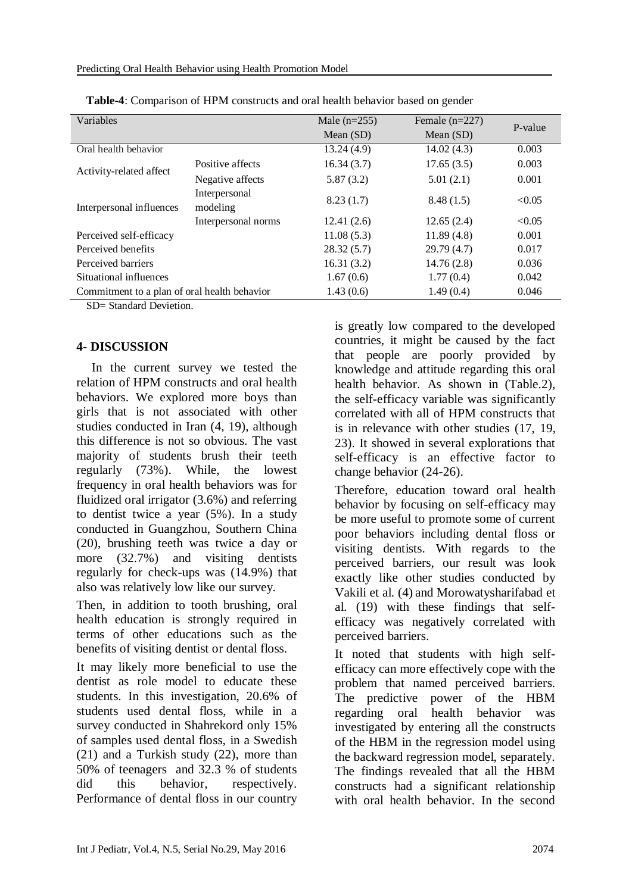| Variables                                    |                           | Male $(n=255)$ | Female $(n=227)$ | P-value |  |
|----------------------------------------------|---------------------------|----------------|------------------|---------|--|
|                                              |                           | Mean $(SD)$    | Mean $(SD)$      |         |  |
| Oral health behavior                         |                           | 13.24(4.9)     | 14.02(4.3)       | 0.003   |  |
| Activity-related affect                      | Positive affects          | 16.34(3.7)     | 17.65(3.5)       | 0.003   |  |
|                                              | Negative affects          | 5.87(3.2)      | 5.01(2.1)        | 0.001   |  |
| Interpersonal influences                     | Interpersonal<br>modeling | 8.23(1.7)      | 8.48(1.5)        | < 0.05  |  |
|                                              | Interpersonal norms       | 12.41(2.6)     | 12.65(2.4)       | < 0.05  |  |
| Perceived self-efficacy                      |                           | 11.08(5.3)     | 11.89(4.8)       | 0.001   |  |
| Perceived benefits                           |                           | 28.32(5.7)     | 29.79(4.7)       | 0.017   |  |
| Perceived barriers                           |                           | 16.31(3.2)     | 14.76(2.8)       | 0.036   |  |
| Situational influences                       |                           | 1.67(0.6)      | 1.77(0.4)        | 0.042   |  |
| Commitment to a plan of oral health behavior |                           | 1.43(0.6)      | 1.49(0.4)        | 0.046   |  |
|                                              |                           |                |                  |         |  |

|  | Table-4: Comparison of HPM constructs and oral health behavior based on gender |  |
|--|--------------------------------------------------------------------------------|--|
|--|--------------------------------------------------------------------------------|--|

SD= Standard Devietion.

### **4- DISCUSSION**

In the current survey we tested the relation of HPM constructs and oral health behaviors. We explored more boys than girls that is not associated with other studies conducted in Iran [\(4,](#page-6-3) [19\)](#page-7-6), although this difference is not so obvious. The vast majority of students brush their teeth regularly (73%). While, the lowest frequency in oral health behaviors was for fluidized oral irrigator (3.6%) and referring to dentist twice a year (5%). In a study conducted in Guangzhou, Southern China [\(20\)](#page-7-7), brushing teeth was twice a day or more (32.7%) and visiting dentists regularly for check-ups was (14.9%) that also was relatively low like our survey.

Then, in addition to tooth brushing, oral health education is strongly required in terms of other educations such as the benefits of visiting dentist or dental floss.

It may likely more beneficial to use the dentist as role model to educate these students. In this investigation, 20.6% of students used dental floss, while in a survey conducted in Shahrekord only 15% of samples used dental floss, in a Swedish [\(21\)](#page-7-8) and a Turkish study [\(22\)](#page-7-9), more than 50% of teenagers and 32.3 % of students did this behavior, respectively. Performance of dental floss in our country is greatly low compared to the developed countries, it might be caused by the fact that people are poorly provided by knowledge and attitude regarding this oral health behavior. As shown in (Table.2), the self-efficacy variable was significantly correlated with all of HPM constructs that is in relevance with other studies [\(17,](#page-7-10) [19,](#page-7-6) [23\)](#page-7-11). It showed in several explorations that self-efficacy is an effective factor to change behavior [\(24-26\)](#page-7-12).

Therefore, education toward oral health behavior by focusing on self-efficacy may be more useful to promote some of current poor behaviors including dental floss or visiting dentists. With regards to the perceived barriers, our result was look exactly like other studies conducted by Vakili et al. [\(4\)](#page-6-3) and Morowatysharifabad et al. [\(19\)](#page-7-6) with these findings that selfefficacy was negatively correlated with perceived barriers.

It noted that students with high selfefficacy can more effectively cope with the problem that named perceived barriers. The predictive power of the HBM regarding oral health behavior was investigated by entering all the constructs of the HBM in the regression model using the backward regression model, separately. The findings revealed that all the HBM constructs had a significant relationship with oral health behavior. In the second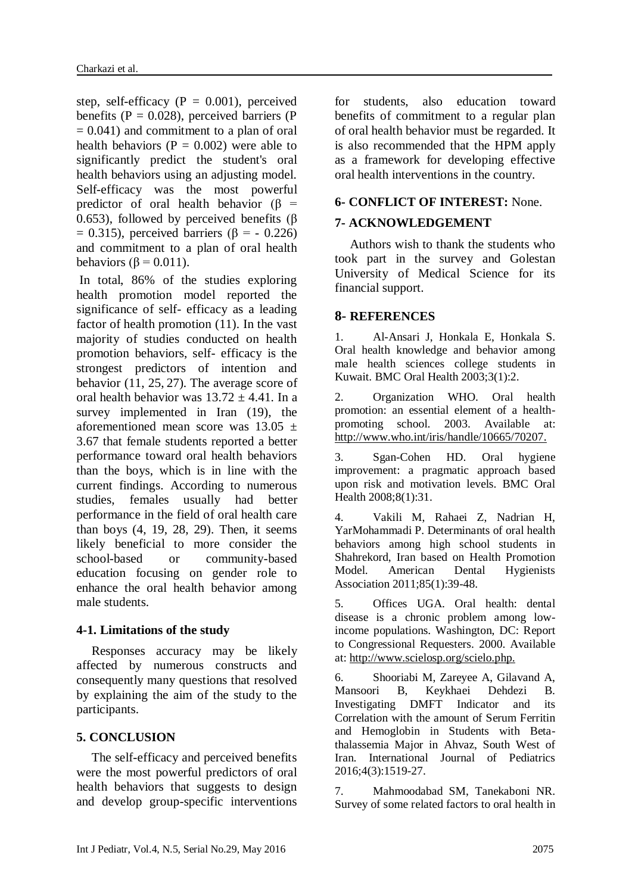step, self-efficacy ( $P = 0.001$ ), perceived benefits ( $P = 0.028$ ), perceived barriers ( $P = 0.028$ )  $= 0.041$ ) and commitment to a plan of oral health behaviors ( $P = 0.002$ ) were able to significantly predict the student's oral health behaviors using an adjusting model. Self-efficacy was the most powerful predictor of oral health behavior ( $\beta$  = 0.653), followed by perceived benefits (β  $= 0.315$ ), perceived barriers ( $\beta = -0.226$ ) and commitment to a plan of oral health behaviors ( $\beta$  = 0.011).

In total, 86% of the studies exploring health promotion model reported the significance of self- efficacy as a leading factor of health promotion [\(11\)](#page-7-3). In the vast majority of studies conducted on health promotion behaviors, self- efficacy is the strongest predictors of intention and behavior [\(11,](#page-7-3) [25,](#page-7-13) [27\)](#page-8-0). The average score of oral health behavior was  $13.72 \pm 4.41$ . In a survey implemented in Iran [\(19\)](#page-7-6), the aforementioned mean score was  $13.05 \pm 1$ 3.67 that female students reported a better performance toward oral health behaviors than the boys, which is in line with the current findings. According to numerous studies, females usually had better performance in the field of oral health care than boys [\(4,](#page-6-3) [19,](#page-7-6) [28,](#page-8-1) [29\)](#page-8-2). Then, it seems likely beneficial to more consider the school-based or community-based education focusing on gender role to enhance the oral health behavior among male students.

### **4-1. Limitations of the study**

Responses accuracy may be likely affected by numerous constructs and consequently many questions that resolved by explaining the aim of the study to the participants.

### **5. CONCLUSION**

The self-efficacy and perceived benefits were the most powerful predictors of oral health behaviors that suggests to design and develop group-specific interventions for students, also education toward benefits of commitment to a regular plan of oral health behavior must be regarded. It is also recommended that the HPM apply as a framework for developing effective oral health interventions in the country.

### **6- CONFLICT OF INTEREST:** None.

### **7- ACKNOWLEDGEMENT**

Authors wish to thank the students who took part in the survey and Golestan University of Medical Science for its financial support.

### **8- REFERENCES**

<span id="page-6-0"></span>1. Al-Ansari J, Honkala E, Honkala S. Oral health knowledge and behavior among male health sciences college students in Kuwait. BMC Oral Health 2003;3(1):2.

<span id="page-6-1"></span>2. Organization WHO. Oral health promotion: an essential element of a healthpromoting school. 2003. Available at: [http://www.who.int/iris/handle/10665/70207.](http://www.who.int/iris/handle/10665/70207)

<span id="page-6-2"></span>3. Sgan-Cohen HD. Oral hygiene improvement: a pragmatic approach based upon risk and motivation levels. BMC Oral Health 2008;8(1):31.

<span id="page-6-3"></span>4. Vakili M, Rahaei Z, Nadrian H, YarMohammadi P. Determinants of oral health behaviors among high school students in Shahrekord, Iran based on Health Promotion Model. American Dental Hygienists Association 2011;85(1):39-48.

<span id="page-6-4"></span>5. Offices UGA. Oral health: dental disease is a chronic problem among lowincome populations. Washington, DC: Report to Congressional Requesters. 2000. Available at: http://www.scielosp.org/scielo.php.

<span id="page-6-5"></span>6. Shooriabi M, Zareyee A, Gilavand A, Mansoori B, Keykhaei Dehdezi B. Investigating DMFT Indicator and its Correlation with the amount of Serum Ferritin and Hemoglobin in Students with Betathalassemia Major in Ahvaz, South West of Iran. International Journal of Pediatrics 2016;4(3):1519-27.

<span id="page-6-6"></span>7. Mahmoodabad SM, Tanekaboni NR. Survey of some related factors to oral health in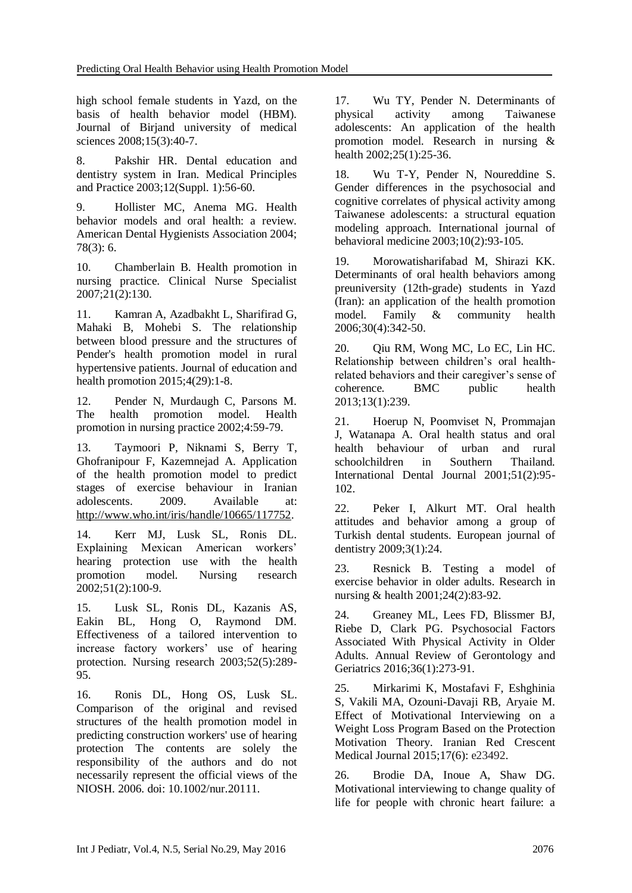high school female students in Yazd, on the basis of health behavior model (HBM). Journal of Birjand university of medical sciences 2008;15(3):40-7.

<span id="page-7-0"></span>8. Pakshir HR. Dental education and dentistry system in Iran. Medical Principles and Practice 2003;12(Suppl. 1):56-60.

<span id="page-7-1"></span>9. Hollister MC, Anema MG. Health behavior models and oral health: a review. American Dental Hygienists Association 2004; 78(3): 6.

<span id="page-7-2"></span>10. Chamberlain B. Health promotion in nursing practice. Clinical Nurse Specialist 2007;21(2):130.

<span id="page-7-3"></span>11. Kamran A, Azadbakht L, Sharifirad G, Mahaki B, Mohebi S. The relationship between blood pressure and the structures of Pender's health promotion model in rural hypertensive patients. Journal of education and health promotion 2015;4(29):1-8.

<span id="page-7-4"></span>12. Pender N, Murdaugh C, Parsons M. The health promotion model. Health promotion in nursing practice 2002;4:59-79.

<span id="page-7-5"></span>13. Taymoori P, Niknami S, Berry T, Ghofranipour F, Kazemnejad A. Application of the health promotion model to predict stages of exercise behaviour in Iranian adolescents. 2009. Available at[:](http://www.who.int/iris/handle/10665/117752)  [http://www.who.int/iris/handle/10665/117752.](http://www.who.int/iris/handle/10665/117752)

14. Kerr MJ, Lusk SL, Ronis DL. Explaining Mexican American workers' hearing protection use with the health promotion model. Nursing research 2002;51(2):100-9.

15. Lusk SL, Ronis DL, Kazanis AS, Eakin BL, Hong O, Raymond DM. Effectiveness of a tailored intervention to increase factory workers' use of hearing protection. Nursing research 2003;52(5):289- 95.

16. Ronis DL, Hong OS, Lusk SL. Comparison of the original and revised structures of the health promotion model in predicting construction workers' use of hearing protection The contents are solely the responsibility of the authors and do not necessarily represent the official views of the NIOSH. 2006. doi: 10.1002/nur.20111.

<span id="page-7-10"></span>17. Wu TY, Pender N. Determinants of physical activity among Taiwanese adolescents: An application of the health promotion model. Research in nursing & health 2002;25(1):25-36.

18. Wu T-Y, Pender N, Noureddine S. Gender differences in the psychosocial and cognitive correlates of physical activity among Taiwanese adolescents: a structural equation modeling approach. International journal of behavioral medicine 2003;10(2):93-105.

<span id="page-7-6"></span>19. Morowatisharifabad M, Shirazi KK. Determinants of oral health behaviors among preuniversity (12th-grade) students in Yazd (Iran): an application of the health promotion model. Family & community health 2006;30(4):342-50.

<span id="page-7-7"></span>20. Qiu RM, Wong MC, Lo EC, Lin HC. Relationship between children's oral healthrelated behaviors and their caregiver's sense of coherence. BMC public health 2013;13(1):239.

<span id="page-7-8"></span>21. Hoerup N, Poomviset N, Prommajan J, Watanapa A. Oral health status and oral health behaviour of urban and rural schoolchildren in Southern Thailand. International Dental Journal 2001;51(2):95- 102.

<span id="page-7-9"></span>22. Peker I, Alkurt MT. Oral health attitudes and behavior among a group of Turkish dental students. European journal of dentistry 2009;3(1):24.

<span id="page-7-11"></span>23. Resnick B. Testing a model of exercise behavior in older adults. Research in nursing & health 2001;24(2):83-92.

<span id="page-7-12"></span>24. Greaney ML, Lees FD, Blissmer BJ, Riebe D, Clark PG. Psychosocial Factors Associated With Physical Activity in Older Adults. Annual Review of Gerontology and Geriatrics 2016;36(1):273-91.

<span id="page-7-13"></span>25. Mirkarimi K, Mostafavi F, Eshghinia S, Vakili MA, Ozouni-Davaji RB, Aryaie M. Effect of Motivational Interviewing on a Weight Loss Program Based on the Protection Motivation Theory. Iranian Red Crescent Medical Journal 2015;17(6): e23492.

26. Brodie DA, Inoue A, Shaw DG. Motivational interviewing to change quality of life for people with chronic heart failure: a